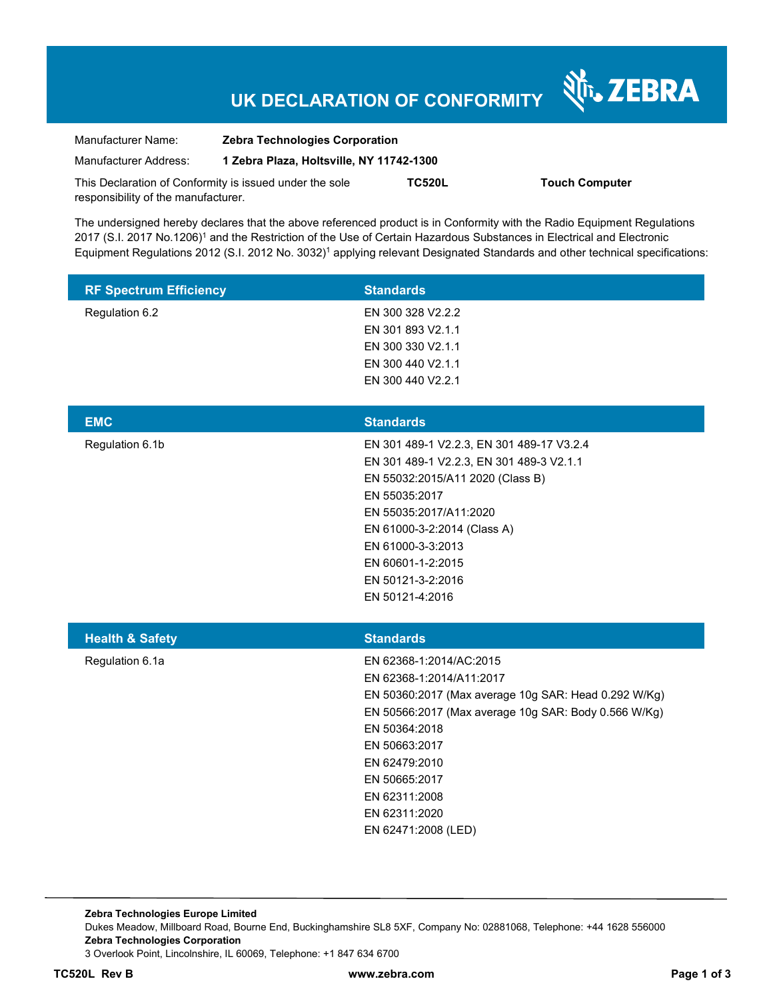# **UK DECLARATION OF CONFORMITY**

Nr. ZEBRA

| Manufacturer Name:                                      | <b>Zebra Technologies Corporation</b>    |               |                       |  |
|---------------------------------------------------------|------------------------------------------|---------------|-----------------------|--|
| Manufacturer Address:                                   | 1 Zebra Plaza, Holtsville, NY 11742-1300 |               |                       |  |
| This Declaration of Conformity is issued under the sole |                                          | <b>TC520L</b> | <b>Touch Computer</b> |  |
| responsibility of the manufacturer.                     |                                          |               |                       |  |

The undersigned hereby declares that the above referenced product is in Conformity with the Radio Equipment Regulations 2017 (S.I. 2017 No.1206)<sup>1</sup> and the Restriction of the Use of Certain Hazardous Substances in Electrical and Electronic Equipment Regulations 2012 (S.I. 2012 No. 3032)<sup>1</sup> applying relevant Designated Standards and other technical specifications:

| <b>RF Spectrum Efficiency</b> | <b>Standards</b>                                                                                                                                                                                                                                                                                 |
|-------------------------------|--------------------------------------------------------------------------------------------------------------------------------------------------------------------------------------------------------------------------------------------------------------------------------------------------|
| Regulation 6.2                | EN 300 328 V2.2.2<br>EN 301 893 V2.1.1<br>EN 300 330 V2.1.1<br>EN 300 440 V2.1.1<br>EN 300 440 V2.2.1                                                                                                                                                                                            |
| <b>EMC</b>                    | <b>Standards</b>                                                                                                                                                                                                                                                                                 |
| Regulation 6.1b               | EN 301 489-1 V2.2.3, EN 301 489-17 V3.2.4<br>EN 301 489-1 V2.2.3, EN 301 489-3 V2.1.1<br>EN 55032:2015/A11 2020 (Class B)<br>EN 55035:2017<br>EN 55035:2017/A11:2020<br>EN 61000-3-2:2014 (Class A)<br>EN 61000-3-3:2013<br>EN 60601-1-2:2015<br>EN 50121-3-2:2016<br>EN 50121-4:2016            |
| <b>Health &amp; Safety</b>    | <b>Standards</b>                                                                                                                                                                                                                                                                                 |
| Regulation 6.1a               | EN 62368-1:2014/AC:2015<br>EN 62368-1:2014/A11:2017<br>EN 50360:2017 (Max average 10g SAR: Head 0.292 W/Kg)<br>EN 50566:2017 (Max average 10g SAR: Body 0.566 W/Kg)<br>EN 50364:2018<br>EN 50663:2017<br>EN 62479:2010<br>EN 50665:2017<br>EN 62311:2008<br>EN 62311:2020<br>EN 62471:2008 (LED) |

**Zebra Technologies Europe Limited**  Dukes Meadow, Millboard Road, Bourne End, Buckinghamshire SL8 5XF, Company No: 02881068, Telephone: +44 1628 556000 **Zebra Technologies Corporation**  3 Overlook Point, Lincolnshire, IL 60069, Telephone: +1 847 634 6700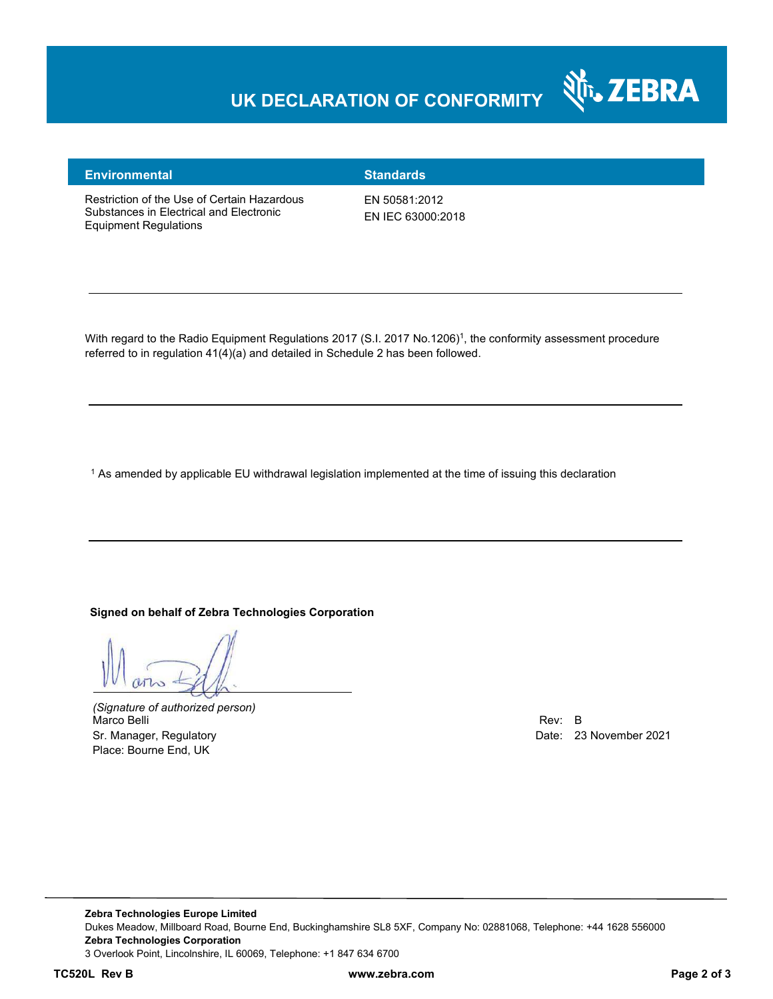### **UK DECLARATION OF CONFORMITY**



#### **Environmental Standards**

Restriction of the Use of Certain Hazardous Substances in Electrical and Electronic Equipment Regulations

EN 50581:2012 EN IEC 63000:2018

With regard to the Radio Equipment Regulations 2017 (S.I. 2017 No.1206)<sup>1</sup>, the conformity assessment procedure referred to in regulation 41(4)(a) and detailed in Schedule 2 has been followed.

1 As amended by applicable EU withdrawal legislation implemented at the time of issuing this declaration

#### **Signed on behalf of Zebra Technologies Corporation**

*(Signature of authorized person)* Marco Belli Rev: B Sr. Manager, Regulatory Date: 23 November 2021 Place: Bourne End, UK

**TC520L Rev B www.zebra.com Page 2 of 3**